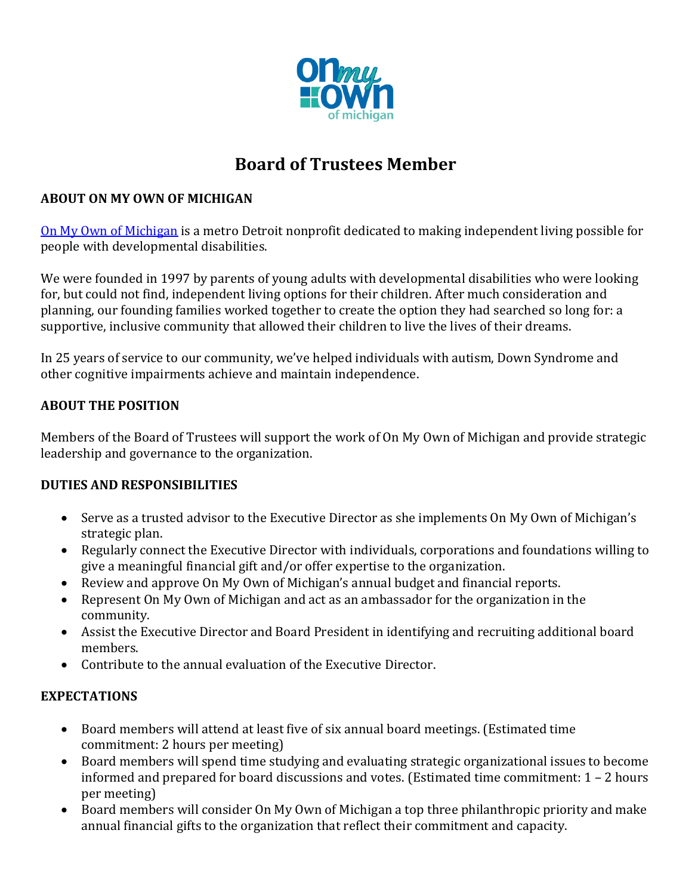

# **Board of Trustees Member**

### **ABOUT ON MY OWN OF MICHIGAN**

[On My Own of Michigan](https://onmyownofmi.org/) is a metro Detroit nonprofit dedicated to making independent living possible for people with developmental disabilities.

We were founded in 1997 by parents of young adults with developmental disabilities who were looking for, but could not find, independent living options for their children. After much consideration and planning, our founding families worked together to create the option they had searched so long for: a supportive, inclusive community that allowed their children to live the lives of their dreams.

In 25 years of service to our community, we've helped individuals with autism, Down Syndrome and other cognitive impairments achieve and maintain independence.

### **ABOUT THE POSITION**

Members of the Board of Trustees will support the work of On My Own of Michigan and provide strategic leadership and governance to the organization.

### **DUTIES AND RESPONSIBILITIES**

- Serve as a trusted advisor to the Executive Director as she implements On My Own of Michigan's strategic plan.
- Regularly connect the Executive Director with individuals, corporations and foundations willing to give a meaningful financial gift and/or offer expertise to the organization.
- Review and approve On My Own of Michigan's annual budget and financial reports.
- Represent On My Own of Michigan and act as an ambassador for the organization in the community.
- Assist the Executive Director and Board President in identifying and recruiting additional board members.
- Contribute to the annual evaluation of the Executive Director.

### **EXPECTATIONS**

- Board members will attend at least five of six annual board meetings. (Estimated time commitment: 2 hours per meeting)
- Board members will spend time studying and evaluating strategic organizational issues to become informed and prepared for board discussions and votes. (Estimated time commitment: 1 – 2 hours per meeting)
- Board members will consider On My Own of Michigan a top three philanthropic priority and make annual financial gifts to the organization that reflect their commitment and capacity.